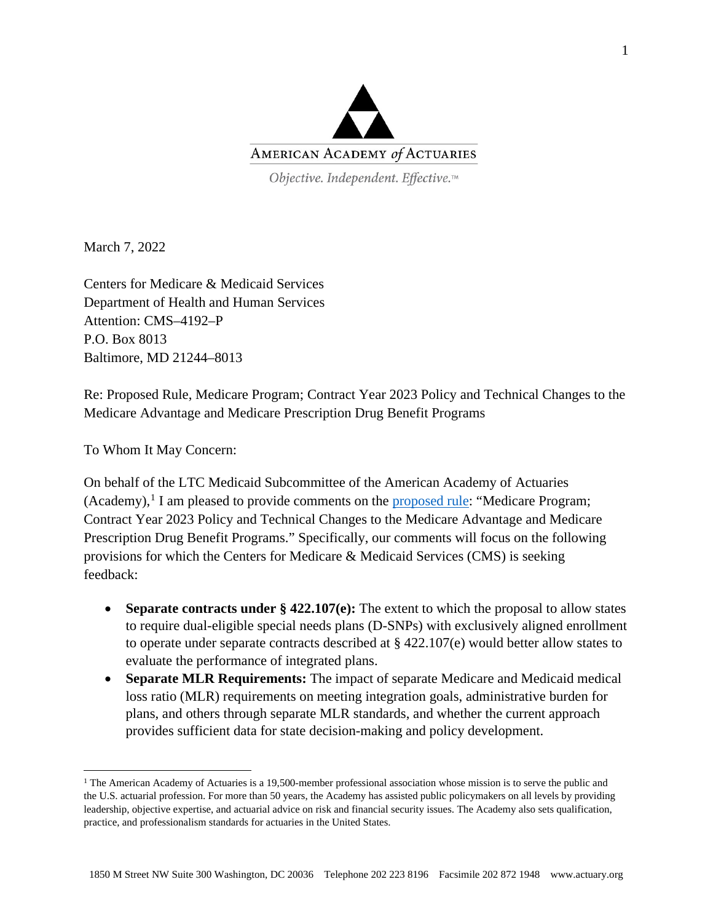

Objective. Independent. Effective.™

March 7, 2022

Centers for Medicare & Medicaid Services Department of Health and Human Services Attention: CMS–4192–P P.O. Box 8013 Baltimore, MD 21244–8013

Re: Proposed Rule, Medicare Program; Contract Year 2023 Policy and Technical Changes to the Medicare Advantage and Medicare Prescription Drug Benefit Programs

To Whom It May Concern:

On behalf of the LTC Medicaid Subcommittee of the American Academy of Actuaries (Academy),<sup>[1](#page-0-0)</sup> I am pleased to provide comments on the [proposed rule:](https://www.federalregister.gov/documents/2022/01/12/2022-00117/medicare-program-contract-year-2023-policy-and-technical-changes-to-the-medicare-advantage-and) "Medicare Program; Contract Year 2023 Policy and Technical Changes to the Medicare Advantage and Medicare Prescription Drug Benefit Programs." Specifically, our comments will focus on the following provisions for which the Centers for Medicare & Medicaid Services (CMS) is seeking feedback:

- **Separate contracts under § 422.107(e):** The extent to which the proposal to allow states to require dual-eligible special needs plans (D-SNPs) with exclusively aligned enrollment to operate under separate contracts described at § 422.107(e) would better allow states to evaluate the performance of integrated plans.
- **Separate MLR Requirements:** The impact of separate Medicare and Medicaid medical loss ratio (MLR) requirements on meeting integration goals, administrative burden for plans, and others through separate MLR standards, and whether the current approach provides sufficient data for state decision-making and policy development.

<span id="page-0-0"></span> $1$  The American Academy of Actuaries is a 19,500-member professional association whose mission is to serve the public and the U.S. actuarial profession. For more than 50 years, the Academy has assisted public policymakers on all levels by providing leadership, objective expertise, and actuarial advice on risk and financial security issues. The Academy also sets qualification, practice, and professionalism standards for actuaries in the United States.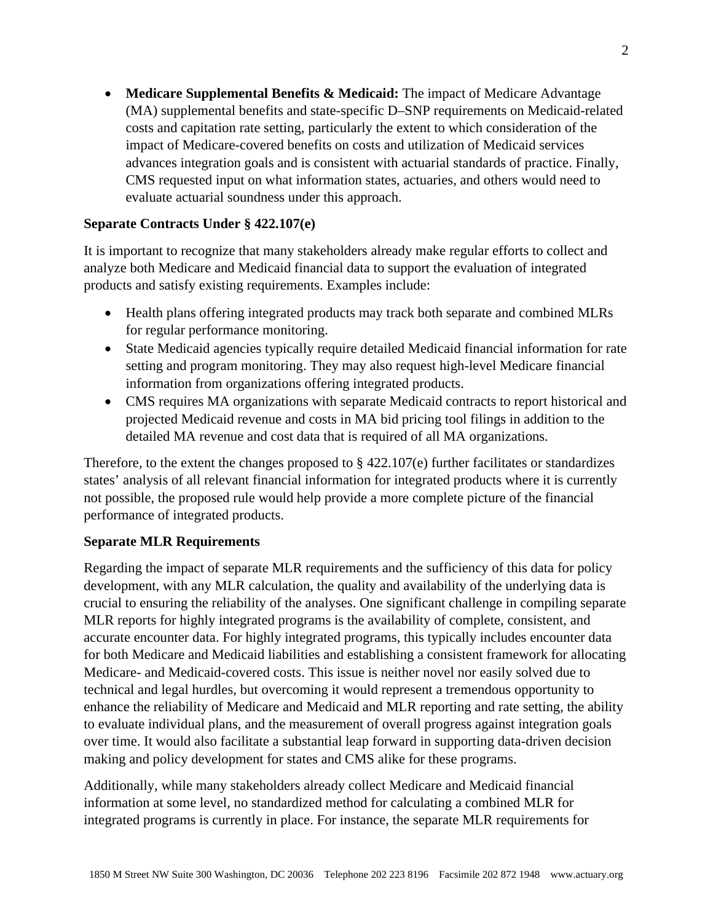• **Medicare Supplemental Benefits & Medicaid:** The impact of Medicare Advantage (MA) supplemental benefits and state-specific D–SNP requirements on Medicaid-related costs and capitation rate setting, particularly the extent to which consideration of the impact of Medicare-covered benefits on costs and utilization of Medicaid services advances integration goals and is consistent with actuarial standards of practice. Finally, CMS requested input on what information states, actuaries, and others would need to evaluate actuarial soundness under this approach.

## **Separate Contracts Under § 422.107(e)**

It is important to recognize that many stakeholders already make regular efforts to collect and analyze both Medicare and Medicaid financial data to support the evaluation of integrated products and satisfy existing requirements. Examples include:

- Health plans offering integrated products may track both separate and combined MLRs for regular performance monitoring.
- State Medicaid agencies typically require detailed Medicaid financial information for rate setting and program monitoring. They may also request high-level Medicare financial information from organizations offering integrated products.
- CMS requires MA organizations with separate Medicaid contracts to report historical and projected Medicaid revenue and costs in MA bid pricing tool filings in addition to the detailed MA revenue and cost data that is required of all MA organizations.

Therefore, to the extent the changes proposed to  $\S 422.107(e)$  further facilitates or standardizes states' analysis of all relevant financial information for integrated products where it is currently not possible, the proposed rule would help provide a more complete picture of the financial performance of integrated products.

## **Separate MLR Requirements**

Regarding the impact of separate MLR requirements and the sufficiency of this data for policy development, with any MLR calculation, the quality and availability of the underlying data is crucial to ensuring the reliability of the analyses. One significant challenge in compiling separate MLR reports for highly integrated programs is the availability of complete, consistent, and accurate encounter data. For highly integrated programs, this typically includes encounter data for both Medicare and Medicaid liabilities and establishing a consistent framework for allocating Medicare- and Medicaid-covered costs. This issue is neither novel nor easily solved due to technical and legal hurdles, but overcoming it would represent a tremendous opportunity to enhance the reliability of Medicare and Medicaid and MLR reporting and rate setting, the ability to evaluate individual plans, and the measurement of overall progress against integration goals over time. It would also facilitate a substantial leap forward in supporting data-driven decision making and policy development for states and CMS alike for these programs.

Additionally, while many stakeholders already collect Medicare and Medicaid financial information at some level, no standardized method for calculating a combined MLR for integrated programs is currently in place. For instance, the separate MLR requirements for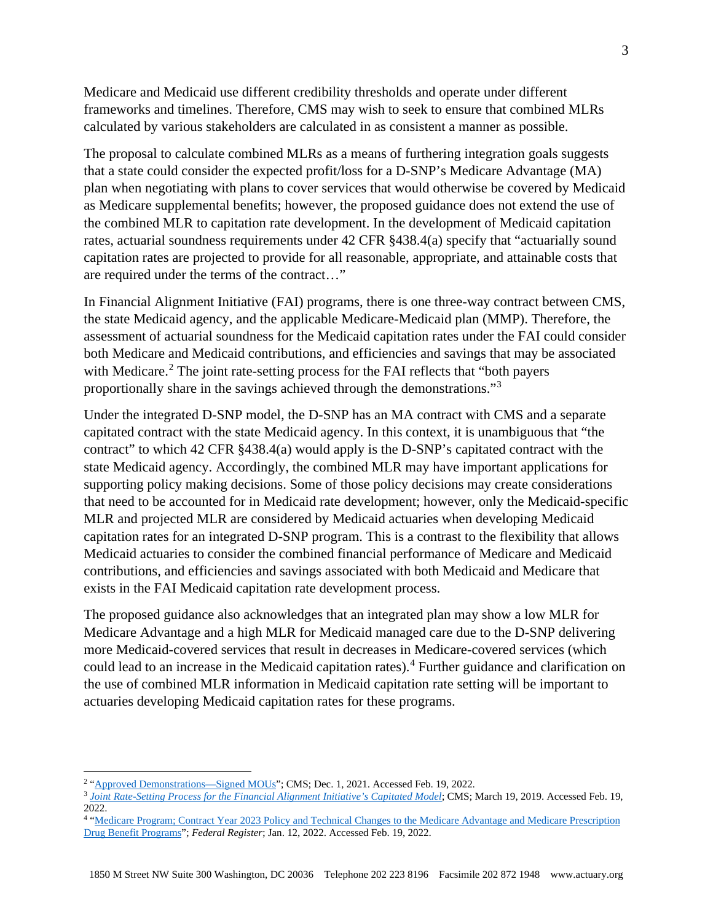Medicare and Medicaid use different credibility thresholds and operate under different frameworks and timelines. Therefore, CMS may wish to seek to ensure that combined MLRs calculated by various stakeholders are calculated in as consistent a manner as possible.

The proposal to calculate combined MLRs as a means of furthering integration goals suggests that a state could consider the expected profit/loss for a D-SNP's Medicare Advantage (MA) plan when negotiating with plans to cover services that would otherwise be covered by Medicaid as Medicare supplemental benefits; however, the proposed guidance does not extend the use of the combined MLR to capitation rate development. In the development of Medicaid capitation rates, actuarial soundness requirements under 42 CFR §438.4(a) specify that "actuarially sound capitation rates are projected to provide for all reasonable, appropriate, and attainable costs that are required under the terms of the contract…"

In Financial Alignment Initiative (FAI) programs, there is one three-way contract between CMS, the state Medicaid agency, and the applicable Medicare-Medicaid plan (MMP). Therefore, the assessment of actuarial soundness for the Medicaid capitation rates under the FAI could consider both Medicare and Medicaid contributions, and efficiencies and savings that may be associated with Medicare.<sup>[2](#page-2-0)</sup> The joint rate-setting process for the FAI reflects that "both payers" proportionally share in the savings achieved through the demonstrations."[3](#page-2-1)

Under the integrated D-SNP model, the D-SNP has an MA contract with CMS and a separate capitated contract with the state Medicaid agency. In this context, it is unambiguous that "the contract" to which 42 CFR §438.4(a) would apply is the D-SNP's capitated contract with the state Medicaid agency. Accordingly, the combined MLR may have important applications for supporting policy making decisions. Some of those policy decisions may create considerations that need to be accounted for in Medicaid rate development; however, only the Medicaid-specific MLR and projected MLR are considered by Medicaid actuaries when developing Medicaid capitation rates for an integrated D-SNP program. This is a contrast to the flexibility that allows Medicaid actuaries to consider the combined financial performance of Medicare and Medicaid contributions, and efficiencies and savings associated with both Medicaid and Medicare that exists in the FAI Medicaid capitation rate development process.

The proposed guidance also acknowledges that an integrated plan may show a low MLR for Medicare Advantage and a high MLR for Medicaid managed care due to the D-SNP delivering more Medicaid-covered services that result in decreases in Medicare-covered services (which could lead to an increase in the Medicaid capitation rates).<sup>[4](#page-2-2)</sup> Further guidance and clarification on the use of combined MLR information in Medicaid capitation rate setting will be important to actuaries developing Medicaid capitation rates for these programs.

<span id="page-2-0"></span><sup>&</sup>lt;sup>2</sup> ["Approved Demonstrations—Signed MOUs"](https://www.cms.gov/Medicare-Medicaid-Coordination/Medicare-and-Medicaid-Coordination/Medicare-Medicaid-Coordination-Office/FinancialAlignmentInitiative/ApprovedDemonstrationsSignedMOUs); CMS; Dec. 1, 2021. Accessed Feb. 19, 2022.

<span id="page-2-1"></span><sup>&</sup>lt;sup>3</sup> [Joint Rate-Setting Process for the Financial Alignment Initiative's Capitated Model](https://www.cms.gov/files/document/capitatedmodelratesettingprocess03192019.pdf); CMS; March 19, 2019. Accessed Feb. 19, 2022.

<span id="page-2-2"></span><sup>&</sup>lt;sup>4</sup> "Medicare Program; Contract Year 2023 Policy and Technical Changes to the Medicare Advantage and Medicare Prescription [Drug Benefit Programs"](https://www.govinfo.gov/content/pkg/FR-2022-01-12/pdf/2022-00117.pdf); *Federal Register*; Jan. 12, 2022. Accessed Feb. 19, 2022.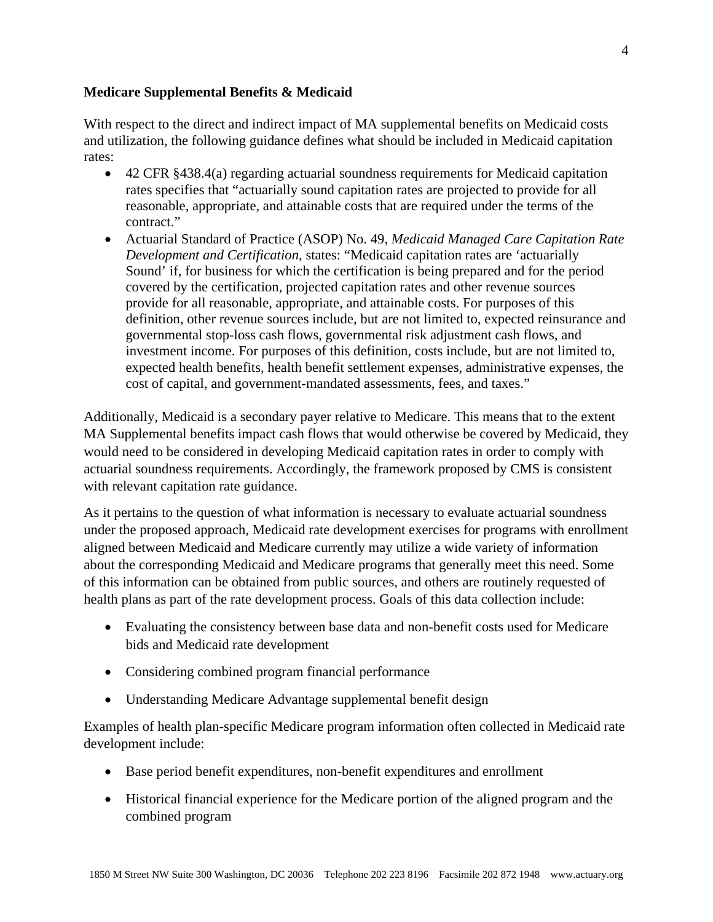## **Medicare Supplemental Benefits & Medicaid**

With respect to the direct and indirect impact of MA supplemental benefits on Medicaid costs and utilization, the following guidance defines what should be included in Medicaid capitation rates:

- 42 CFR §438.4(a) regarding actuarial soundness requirements for Medicaid capitation rates specifies that "actuarially sound capitation rates are projected to provide for all reasonable, appropriate, and attainable costs that are required under the terms of the contract."
- Actuarial Standard of Practice (ASOP) No. 49, *Medicaid Managed Care Capitation Rate Development and Certification*, states: "Medicaid capitation rates are 'actuarially Sound' if, for business for which the certification is being prepared and for the period covered by the certification, projected capitation rates and other revenue sources provide for all reasonable, appropriate, and attainable costs. For purposes of this definition, other revenue sources include, but are not limited to, expected reinsurance and governmental stop-loss cash flows, governmental risk adjustment cash flows, and investment income. For purposes of this definition, costs include, but are not limited to, expected health benefits, health benefit settlement expenses, administrative expenses, the cost of capital, and government-mandated assessments, fees, and taxes."

Additionally, Medicaid is a secondary payer relative to Medicare. This means that to the extent MA Supplemental benefits impact cash flows that would otherwise be covered by Medicaid, they would need to be considered in developing Medicaid capitation rates in order to comply with actuarial soundness requirements. Accordingly, the framework proposed by CMS is consistent with relevant capitation rate guidance.

As it pertains to the question of what information is necessary to evaluate actuarial soundness under the proposed approach, Medicaid rate development exercises for programs with enrollment aligned between Medicaid and Medicare currently may utilize a wide variety of information about the corresponding Medicaid and Medicare programs that generally meet this need. Some of this information can be obtained from public sources, and others are routinely requested of health plans as part of the rate development process. Goals of this data collection include:

- Evaluating the consistency between base data and non-benefit costs used for Medicare bids and Medicaid rate development
- Considering combined program financial performance
- Understanding Medicare Advantage supplemental benefit design

Examples of health plan-specific Medicare program information often collected in Medicaid rate development include:

- Base period benefit expenditures, non-benefit expenditures and enrollment
- Historical financial experience for the Medicare portion of the aligned program and the combined program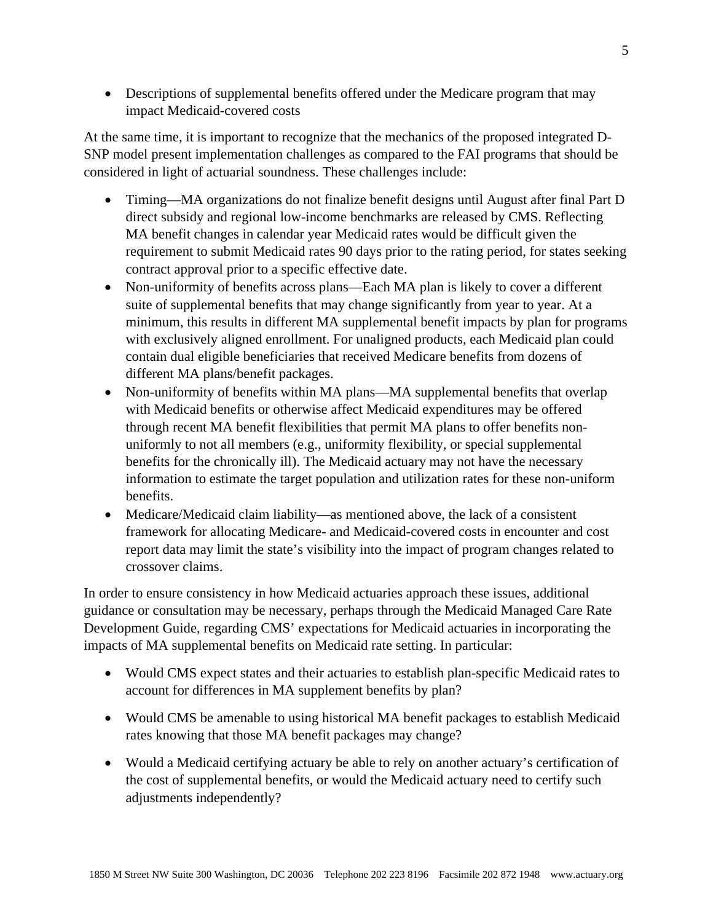• Descriptions of supplemental benefits offered under the Medicare program that may impact Medicaid-covered costs

At the same time, it is important to recognize that the mechanics of the proposed integrated D-SNP model present implementation challenges as compared to the FAI programs that should be considered in light of actuarial soundness. These challenges include:

- Timing—MA organizations do not finalize benefit designs until August after final Part D direct subsidy and regional low-income benchmarks are released by CMS. Reflecting MA benefit changes in calendar year Medicaid rates would be difficult given the requirement to submit Medicaid rates 90 days prior to the rating period, for states seeking contract approval prior to a specific effective date.
- Non-uniformity of benefits across plans—Each MA plan is likely to cover a different suite of supplemental benefits that may change significantly from year to year. At a minimum, this results in different MA supplemental benefit impacts by plan for programs with exclusively aligned enrollment. For unaligned products, each Medicaid plan could contain dual eligible beneficiaries that received Medicare benefits from dozens of different MA plans/benefit packages.
- Non-uniformity of benefits within MA plans—MA supplemental benefits that overlap with Medicaid benefits or otherwise affect Medicaid expenditures may be offered through recent MA benefit flexibilities that permit MA plans to offer benefits nonuniformly to not all members (e.g., uniformity flexibility, or special supplemental benefits for the chronically ill). The Medicaid actuary may not have the necessary information to estimate the target population and utilization rates for these non-uniform benefits.
- Medicare/Medicaid claim liability—as mentioned above, the lack of a consistent framework for allocating Medicare- and Medicaid-covered costs in encounter and cost report data may limit the state's visibility into the impact of program changes related to crossover claims.

In order to ensure consistency in how Medicaid actuaries approach these issues, additional guidance or consultation may be necessary, perhaps through the Medicaid Managed Care Rate Development Guide, regarding CMS' expectations for Medicaid actuaries in incorporating the impacts of MA supplemental benefits on Medicaid rate setting. In particular:

- Would CMS expect states and their actuaries to establish plan-specific Medicaid rates to account for differences in MA supplement benefits by plan?
- Would CMS be amenable to using historical MA benefit packages to establish Medicaid rates knowing that those MA benefit packages may change?
- Would a Medicaid certifying actuary be able to rely on another actuary's certification of the cost of supplemental benefits, or would the Medicaid actuary need to certify such adjustments independently?